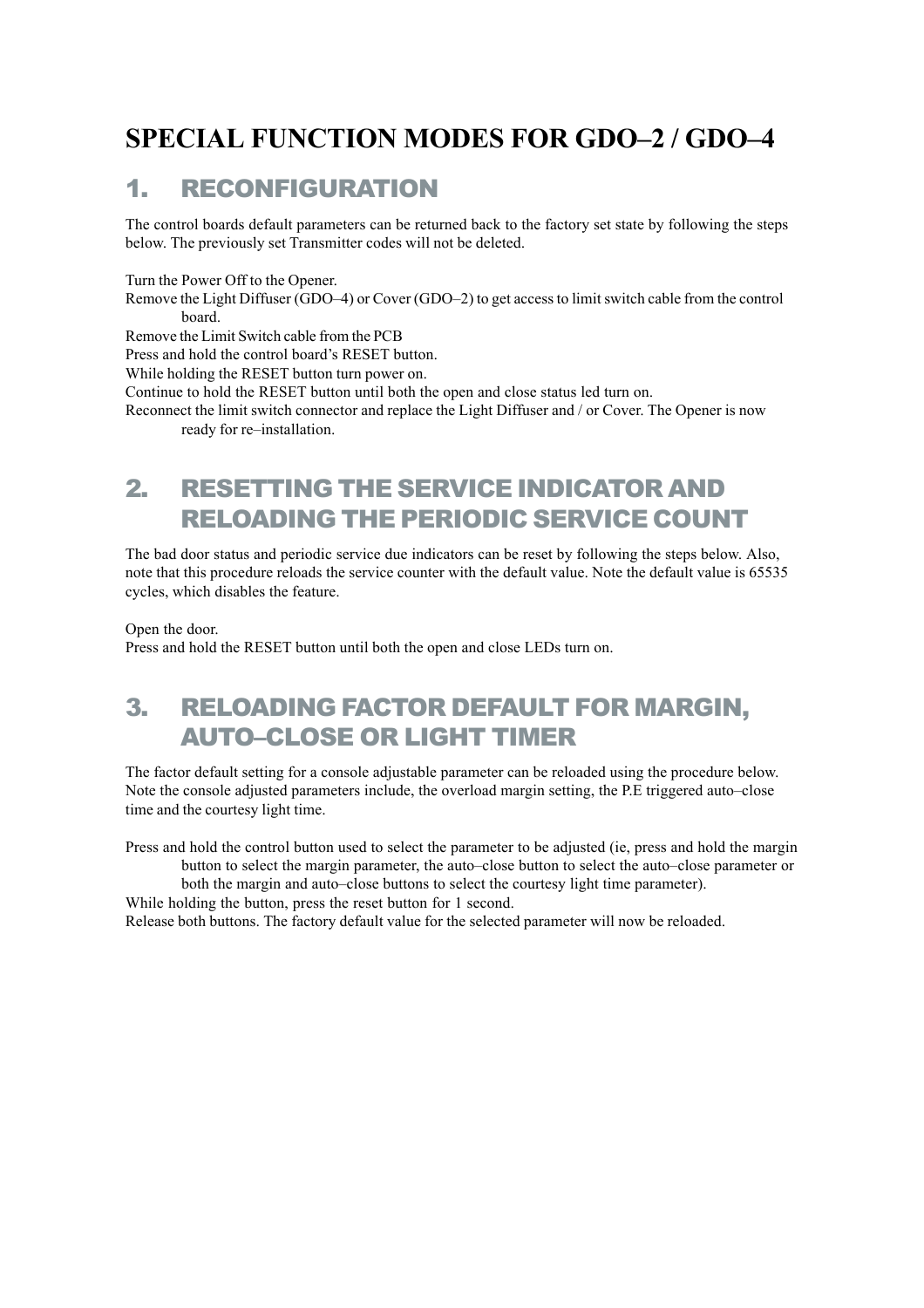### **SPECIAL FUNCTION MODES FOR GDO–2 / GDO–4**

#### 1. RECONFIGURATION

The control boards default parameters can be returned back to the factory set state by following the steps below. The previously set Transmitter codes will not be deleted.

Turn the Power Off to the Opener.

Remove the Light Diffuser (GDO–4) or Cover (GDO–2) to get access to limit switch cable from the control board.

Remove the Limit Switch cable from the PCB

Press and hold the control board's RESET button.

While holding the RESET button turn power on.

Continue to hold the RESET button until both the open and close status led turn on.

Reconnect the limit switch connector and replace the Light Diffuser and / or Cover. The Opener is now ready for re–installation.

#### 2. RESETTING THE SERVICE INDICATOR AND RELOADING THE PERIODIC SERVICE COUNT

The bad door status and periodic service due indicators can be reset by following the steps below. Also, note that this procedure reloads the service counter with the default value. Note the default value is 65535 cycles, which disables the feature.

Open the door.

Press and hold the RESET button until both the open and close LEDs turn on.

### 3. RELOADING FACTOR DEFAULT FOR MARGIN, AUTO–CLOSE OR LIGHT TIMER

The factor default setting for a console adjustable parameter can be reloaded using the procedure below. Note the console adjusted parameters include, the overload margin setting, the P.E triggered auto–close time and the courtesy light time.

Press and hold the control button used to select the parameter to be adjusted (ie, press and hold the margin button to select the margin parameter, the auto–close button to select the auto–close parameter or

both the margin and auto–close buttons to select the courtesy light time parameter).

While holding the button, press the reset button for 1 second.

Release both buttons. The factory default value for the selected parameter will now be reloaded.